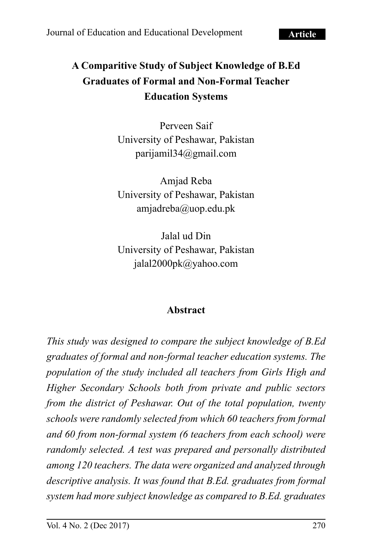# **A Comparitive Study of Subject Knowledge of B.Ed Graduates of Formal and Non-Formal Teacher Education Systems**

Perveen Saif University of Peshawar, Pakistan parijamil34@gmail.com

Amjad Reba University of Peshawar, Pakistan [amjadreba@uop.edu.pk](mailto:amjadreba@uop.edu.pk)

Jalal ud Din University of Peshawar, Pakistan jalal2000pk@yahoo.com

#### **Abstract**

*This study was designed to compare the subject knowledge of B.Ed graduates of formal and non-formal teacher education systems. The population of the study included all teachers from Girls High and Higher Secondary Schools both from private and public sectors from the district of Peshawar. Out of the total population, twenty schools were randomly selected from which 60 teachers from formal and 60 from non-formal system (6 teachers from each school) were randomly selected. A test was prepared and personally distributed among 120 teachers. The data were organized and analyzed through descriptive analysis. It was found that B.Ed. graduates from formal system had more subject knowledge as compared to B.Ed. graduates*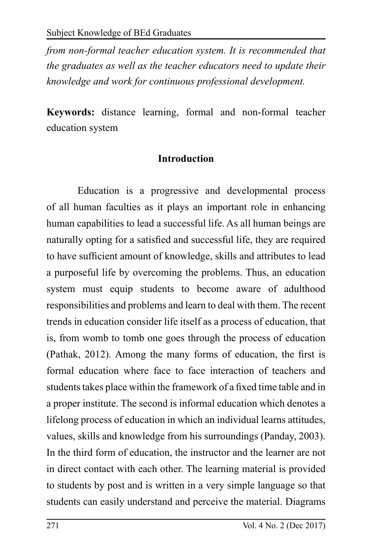*from non-formal teacher education system. It is recommended that the graduates as well as the teacher educators need to update their knowledge and work for continuous professional development.*

**Keywords:** distance learning, formal and non-formal teacher education system

#### **Introduction**

Education is a progressive and developmental process of all human faculties as it plays an important role in enhancing human capabilities to lead a successful life. As all human beings are naturally opting for a satisfied and successful life, they are required to have sufficient amount of knowledge, skills and attributes to lead a purposeful life by overcoming the problems. Thus, an education system must equip students to become aware of adulthood responsibilities and problems and learn to deal with them. The recent trends in education consider life itself as a process of education, that is, from womb to tomb one goes through the process of education (Pathak, 2012). Among the many forms of education, the first is formal education where face to face interaction of teachers and students takes place within the framework of a fixed time table and in a proper institute. The second is informal education which denotes a lifelong process of education in which an individual learns attitudes, values, skills and knowledge from his surroundings (Panday, 2003). In the third form of education, the instructor and the learner are not in direct contact with each other. The learning material is provided to students by post and is written in a very simple language so that students can easily understand and perceive the material. Diagrams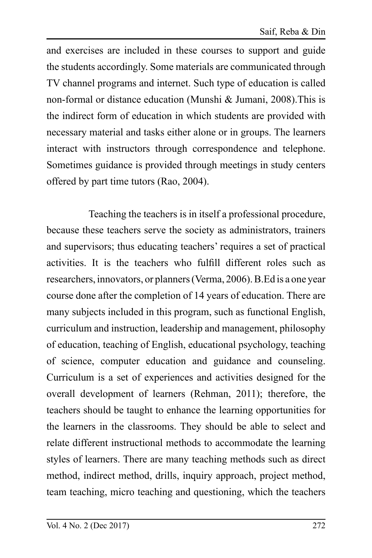and exercises are included in these courses to support and guide the students accordingly. Some materials are communicated through TV channel programs and internet. Such type of education is called non-formal or distance education (Munshi & Jumani, 2008).This is the indirect form of education in which students are provided with necessary material and tasks either alone or in groups. The learners interact with instructors through correspondence and telephone. Sometimes guidance is provided through meetings in study centers offered by part time tutors (Rao, 2004).

 Teaching the teachers is in itself a professional procedure, because these teachers serve the society as administrators, trainers and supervisors; thus educating teachers' requires a set of practical activities. It is the teachers who fulfill different roles such as researchers, innovators, or planners (Verma, 2006). B.Ed is a one year course done after the completion of 14 years of education. There are many subjects included in this program, such as functional English, curriculum and instruction, leadership and management, philosophy of education, teaching of English, educational psychology, teaching of science, computer education and guidance and counseling. Curriculum is a set of experiences and activities designed for the overall development of learners (Rehman, 2011); therefore, the teachers should be taught to enhance the learning opportunities for the learners in the classrooms. They should be able to select and relate different instructional methods to accommodate the learning styles of learners. There are many teaching methods such as direct method, indirect method, drills, inquiry approach, project method, team teaching, micro teaching and questioning, which the teachers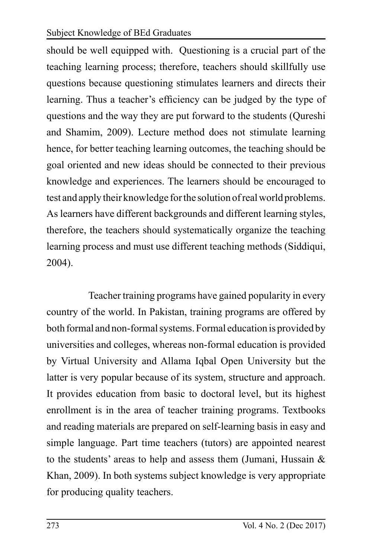should be well equipped with. Questioning is a crucial part of the teaching learning process; therefore, teachers should skillfully use questions because questioning stimulates learners and directs their learning. Thus a teacher's efficiency can be judged by the type of questions and the way they are put forward to the students (Qureshi and Shamim, 2009). Lecture method does not stimulate learning hence, for better teaching learning outcomes, the teaching should be goal oriented and new ideas should be connected to their previous knowledge and experiences. The learners should be encouraged to test and apply their knowledge for the solution of real world problems. As learners have different backgrounds and different learning styles, therefore, the teachers should systematically organize the teaching learning process and must use different teaching methods (Siddiqui, 2004).

 Teacher training programs have gained popularity in every country of the world. In Pakistan, training programs are offered by both formal and non-formal systems. Formal education is provided by universities and colleges, whereas non-formal education is provided by Virtual University and Allama Iqbal Open University but the latter is very popular because of its system, structure and approach. It provides education from basic to doctoral level, but its highest enrollment is in the area of teacher training programs. Textbooks and reading materials are prepared on self-learning basis in easy and simple language. Part time teachers (tutors) are appointed nearest to the students' areas to help and assess them (Jumani, Hussain  $\&$ Khan, 2009). In both systems subject knowledge is very appropriate for producing quality teachers.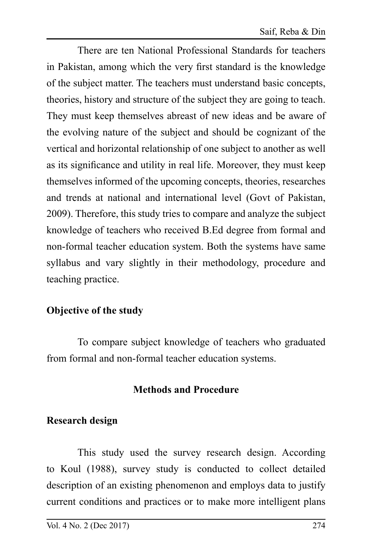There are ten National Professional Standards for teachers in Pakistan, among which the very first standard is the knowledge of the subject matter. The teachers must understand basic concepts, theories, history and structure of the subject they are going to teach. They must keep themselves abreast of new ideas and be aware of the evolving nature of the subject and should be cognizant of the vertical and horizontal relationship of one subject to another as well as its significance and utility in real life. Moreover, they must keep themselves informed of the upcoming concepts, theories, researches and trends at national and international level (Govt of Pakistan, 2009). Therefore, this study tries to compare and analyze the subject knowledge of teachers who received B.Ed degree from formal and non-formal teacher education system. Both the systems have same syllabus and vary slightly in their methodology, procedure and teaching practice.

## **Objective of the study**

To compare subject knowledge of teachers who graduated from formal and non-formal teacher education systems.

## **Methods and Procedure**

#### **Research design**

This study used the survey research design. According to Koul (1988), survey study is conducted to collect detailed description of an existing phenomenon and employs data to justify current conditions and practices or to make more intelligent plans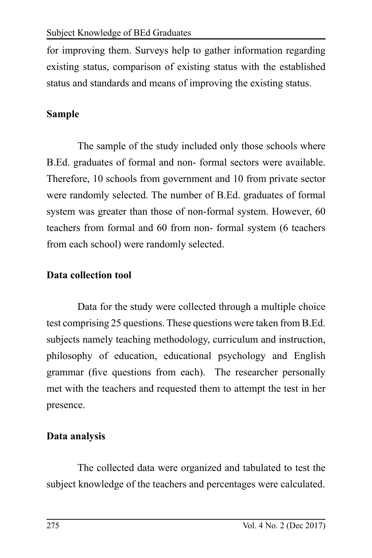for improving them. Surveys help to gather information regarding existing status, comparison of existing status with the established status and standards and means of improving the existing status.

# **Sample**

The sample of the study included only those schools where B.Ed. graduates of formal and non- formal sectors were available. Therefore, 10 schools from government and 10 from private sector were randomly selected. The number of B.Ed. graduates of formal system was greater than those of non-formal system. However, 60 teachers from formal and 60 from non- formal system (6 teachers from each school) were randomly selected.

# **Data collection tool**

Data for the study were collected through a multiple choice test comprising 25 questions. These questions were taken from B.Ed. subjects namely teaching methodology, curriculum and instruction, philosophy of education, educational psychology and English grammar (five questions from each). The researcher personally met with the teachers and requested them to attempt the test in her presence.

# **Data analysis**

The collected data were organized and tabulated to test the subject knowledge of the teachers and percentages were calculated.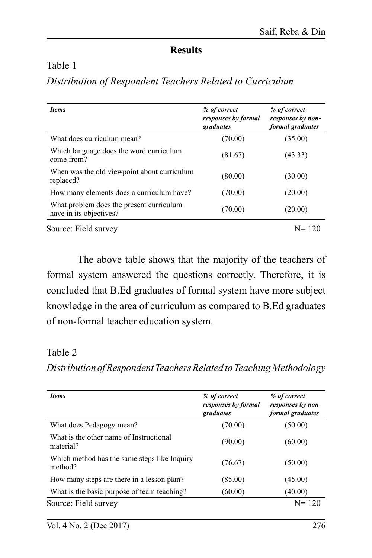## **Results**

#### Table 1

## *Distribution of Respondent Teachers Related to Curriculum*

| <b>Items</b>                                                        | % of correct<br>responses by formal<br>graduates | % of correct<br>responses by non-<br>formal graduates |
|---------------------------------------------------------------------|--------------------------------------------------|-------------------------------------------------------|
| What does curriculum mean?                                          | (70.00)                                          | (35.00)                                               |
| Which language does the word curriculum<br>come from?               | (81.67)                                          | (43.33)                                               |
| When was the old viewpoint about curriculum<br>replaced?            | (80.00)                                          | (30.00)                                               |
| How many elements does a curriculum have?                           | (70.00)                                          | (20.00)                                               |
| What problem does the present curriculum<br>have in its objectives? | (70.00)                                          | (20.00)                                               |
| Source: Field survey                                                |                                                  | $N = 120$                                             |

The above table shows that the majority of the teachers of formal system answered the questions correctly. Therefore, it is concluded that B.Ed graduates of formal system have more subject knowledge in the area of curriculum as compared to B.Ed graduates of non-formal teacher education system.

## Table 2

*Distribution of Respondent Teachers Related to Teaching Methodology*

| <b>Items</b>                                            | % of correct<br>responses by formal<br>graduates | % of correct<br>responses by non-<br>formal graduates |
|---------------------------------------------------------|--------------------------------------------------|-------------------------------------------------------|
| What does Pedagogy mean?                                | (70.00)                                          | (50.00)                                               |
| What is the other name of Instructional<br>material?    | (90.00)                                          | (60.00)                                               |
| Which method has the same steps like Inquiry<br>method? | (76.67)                                          | (50.00)                                               |
| How many steps are there in a lesson plan?              | (85.00)                                          | (45.00)                                               |
| What is the basic purpose of team teaching?             | (60.00)                                          | (40.00)                                               |
| Source: Field survey                                    |                                                  | $N = 120$                                             |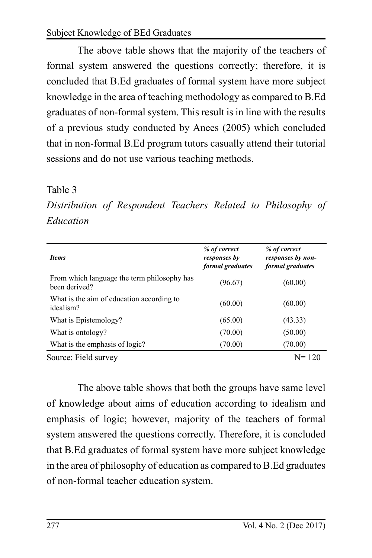The above table shows that the majority of the teachers of formal system answered the questions correctly; therefore, it is concluded that B.Ed graduates of formal system have more subject knowledge in the area of teaching methodology as compared to B.Ed graduates of non-formal system. This result is in line with the results of a previous study conducted by Anees (2005) which concluded that in non-formal B.Ed program tutors casually attend their tutorial sessions and do not use various teaching methods.

#### Table 3

*Distribution of Respondent Teachers Related to Philosophy of Education* 

| <b>Items</b>                                                 | % of correct<br>responses by<br>formal graduates | % of correct<br>responses by non-<br>formal graduates |
|--------------------------------------------------------------|--------------------------------------------------|-------------------------------------------------------|
| From which language the term philosophy has<br>been derived? | (96.67)                                          | (60.00)                                               |
| What is the aim of education according to<br>idealism?       | (60.00)                                          | (60.00)                                               |
| What is Epistemology?                                        | (65.00)                                          | (43.33)                                               |
| What is ontology?                                            | (70.00)                                          | (50.00)                                               |
| What is the emphasis of logic?                               | (70.00)                                          | (70.00)                                               |
| Source: Field survey                                         |                                                  | $N = 120$                                             |

The above table shows that both the groups have same level of knowledge about aims of education according to idealism and emphasis of logic; however, majority of the teachers of formal system answered the questions correctly. Therefore, it is concluded that B.Ed graduates of formal system have more subject knowledge in the area of philosophy of education as compared to B.Ed graduates of non-formal teacher education system.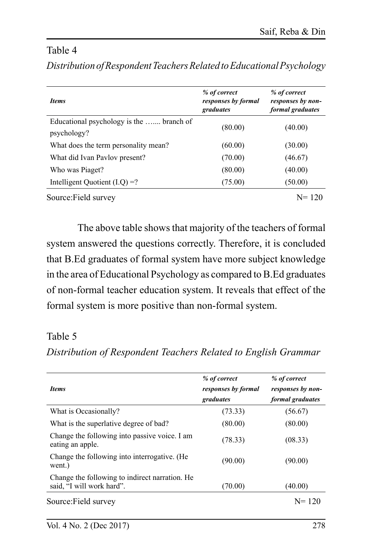#### Table 4

| <i>Items</i>                                            | % of correct<br>responses by formal<br>graduates | % of correct<br>responses by non-<br>formal graduates |
|---------------------------------------------------------|--------------------------------------------------|-------------------------------------------------------|
| Educational psychology is the  branch of<br>psychology? | (80.00)                                          | (40.00)                                               |
| What does the term personality mean?                    | (60.00)                                          | (30.00)                                               |
| What did Ivan Paylov present?                           | (70.00)                                          | (46.67)                                               |
| Who was Piaget?                                         | (80.00)                                          | (40.00)                                               |
| Intelligent Quotient $(I.Q) = ?$                        | (75.00)                                          | (50.00)                                               |
| Source: Field survey                                    |                                                  | $N = 120$                                             |

*Distribution of Respondent Teachers Related to Educational Psychology*

The above table shows that majority of the teachers of formal system answered the questions correctly. Therefore, it is concluded that B.Ed graduates of formal system have more subject knowledge in the area of Educational Psychology as compared to B.Ed graduates of non-formal teacher education system. It reveals that effect of the formal system is more positive than non-formal system.

#### Table 5

#### *Distribution of Respondent Teachers Related to English Grammar*

| <i><u><b>Items</b></u></i>                                                  | % of correct<br>responses by formal<br>graduates | % of correct<br>responses by non-<br><i>formal graduates</i> |
|-----------------------------------------------------------------------------|--------------------------------------------------|--------------------------------------------------------------|
| What is Occasionally?                                                       | (73.33)                                          | (56.67)                                                      |
| What is the superlative degree of bad?                                      | (80.00)                                          | (80.00)                                                      |
| Change the following into passive voice. I am<br>eating an apple.           | (78.33)                                          | (08.33)                                                      |
| Change the following into interrogative. (He<br>went.)                      | (90.00)                                          | (90.00)                                                      |
| Change the following to indirect narration. He<br>said. "I will work hard". | (70.00)                                          | (40.00)                                                      |
| Source: Field survey                                                        |                                                  | $N = 120$                                                    |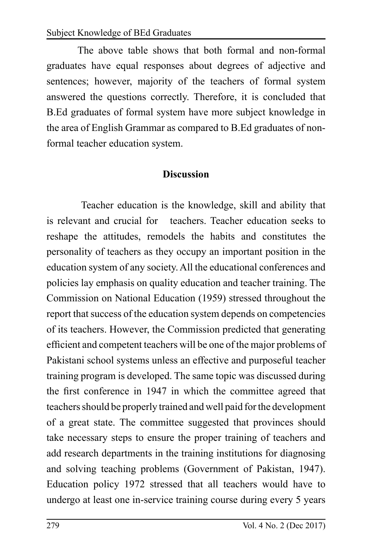The above table shows that both formal and non-formal graduates have equal responses about degrees of adjective and sentences; however, majority of the teachers of formal system answered the questions correctly. Therefore, it is concluded that B.Ed graduates of formal system have more subject knowledge in the area of English Grammar as compared to B.Ed graduates of nonformal teacher education system.

## **Discussion**

 Teacher education is the knowledge, skill and ability that is relevant and crucial for teachers. Teacher education seeks to reshape the attitudes, remodels the habits and constitutes the personality of teachers as they occupy an important position in the education system of any society. All the educational conferences and policies lay emphasis on quality education and teacher training. The Commission on National Education (1959) stressed throughout the report that success of the education system depends on competencies of its teachers. However, the Commission predicted that generating efficient and competent teachers will be one of the major problems of Pakistani school systems unless an effective and purposeful teacher training program is developed. The same topic was discussed during the first conference in 1947 in which the committee agreed that teachers should be properly trained and well paid for the development of a great state. The committee suggested that provinces should take necessary steps to ensure the proper training of teachers and add research departments in the training institutions for diagnosing and solving teaching problems (Government of Pakistan, 1947). Education policy 1972 stressed that all teachers would have to undergo at least one in-service training course during every 5 years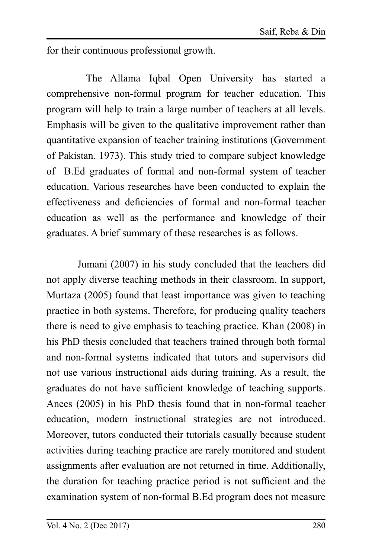for their continuous professional growth.

 The Allama Iqbal Open University has started a comprehensive non-formal program for teacher education. This program will help to train a large number of teachers at all levels. Emphasis will be given to the qualitative improvement rather than quantitative expansion of teacher training institutions (Government of Pakistan, 1973). This study tried to compare subject knowledge of B.Ed graduates of formal and non-formal system of teacher education. Various researches have been conducted to explain the effectiveness and deficiencies of formal and non-formal teacher education as well as the performance and knowledge of their graduates. A brief summary of these researches is as follows.

Jumani (2007) in his study concluded that the teachers did not apply diverse teaching methods in their classroom. In support, Murtaza (2005) found that least importance was given to teaching practice in both systems. Therefore, for producing quality teachers there is need to give emphasis to teaching practice. Khan (2008) in his PhD thesis concluded that teachers trained through both formal and non-formal systems indicated that tutors and supervisors did not use various instructional aids during training. As a result, the graduates do not have sufficient knowledge of teaching supports. Anees (2005) in his PhD thesis found that in non-formal teacher education, modern instructional strategies are not introduced. Moreover, tutors conducted their tutorials casually because student activities during teaching practice are rarely monitored and student assignments after evaluation are not returned in time. Additionally, the duration for teaching practice period is not sufficient and the examination system of non-formal B.Ed program does not measure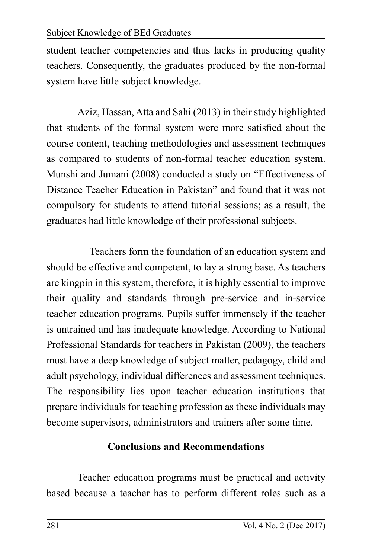student teacher competencies and thus lacks in producing quality teachers. Consequently, the graduates produced by the non-formal system have little subject knowledge.

Aziz, Hassan, Atta and Sahi (2013) in their study highlighted that students of the formal system were more satisfied about the course content, teaching methodologies and assessment techniques as compared to students of non-formal teacher education system. Munshi and Jumani (2008) conducted a study on "Effectiveness of Distance Teacher Education in Pakistan" and found that it was not compulsory for students to attend tutorial sessions; as a result, the graduates had little knowledge of their professional subjects.

 Teachers form the foundation of an education system and should be effective and competent, to lay a strong base. As teachers are kingpin in this system, therefore, it is highly essential to improve their quality and standards through pre-service and in-service teacher education programs. Pupils suffer immensely if the teacher is untrained and has inadequate knowledge. According to National Professional Standards for teachers in Pakistan (2009), the teachers must have a deep knowledge of subject matter, pedagogy, child and adult psychology, individual differences and assessment techniques. The responsibility lies upon teacher education institutions that prepare individuals for teaching profession as these individuals may become supervisors, administrators and trainers after some time.

# **Conclusions and Recommendations**

Teacher education programs must be practical and activity based because a teacher has to perform different roles such as a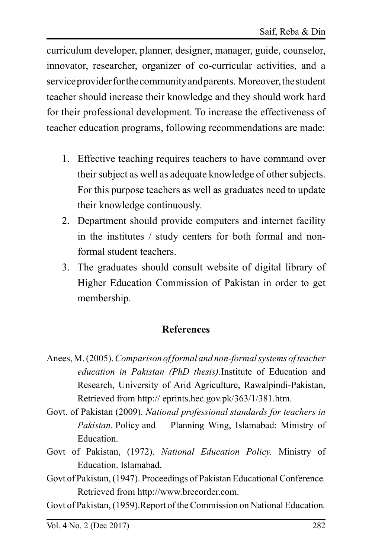curriculum developer, planner, designer, manager, guide, counselor, innovator, researcher, organizer of co-curricular activities, and a service provider for the community and parents. Moreover, the student teacher should increase their knowledge and they should work hard for their professional development. To increase the effectiveness of teacher education programs, following recommendations are made:

- 1. Effective teaching requires teachers to have command over their subject as well as adequate knowledge of other subjects. For this purpose teachers as well as graduates need to update their knowledge continuously.
- 2. Department should provide computers and internet facility in the institutes / study centers for both formal and nonformal student teachers.
- 3. The graduates should consult website of digital library of Higher Education Commission of Pakistan in order to get membership.

## **References**

- Anees, M. (2005). *Comparison of formal and non-formal systems of teacher education in Pakistan (PhD thesis).*Institute of Education and Research, University of Arid Agriculture, Rawalpindi-Pakistan, Retrieved from http:// eprints.hec.gov.pk/363/1/381.htm.
- Govt. of Pakistan (2009). *National professional standards for teachers in Pakistan*. Policy and Planning Wing, Islamabad: Ministry of Education.
- Govt of Pakistan, (1972). *National Education Policy.* Ministry of Education. Islamabad.
- Govt of Pakistan, (1947). Proceedings of Pakistan Educational Conference*.*  Retrieved from http://www.brecorder.com.

Govt of Pakistan, (1959).Report of the Commission on National Education*.*